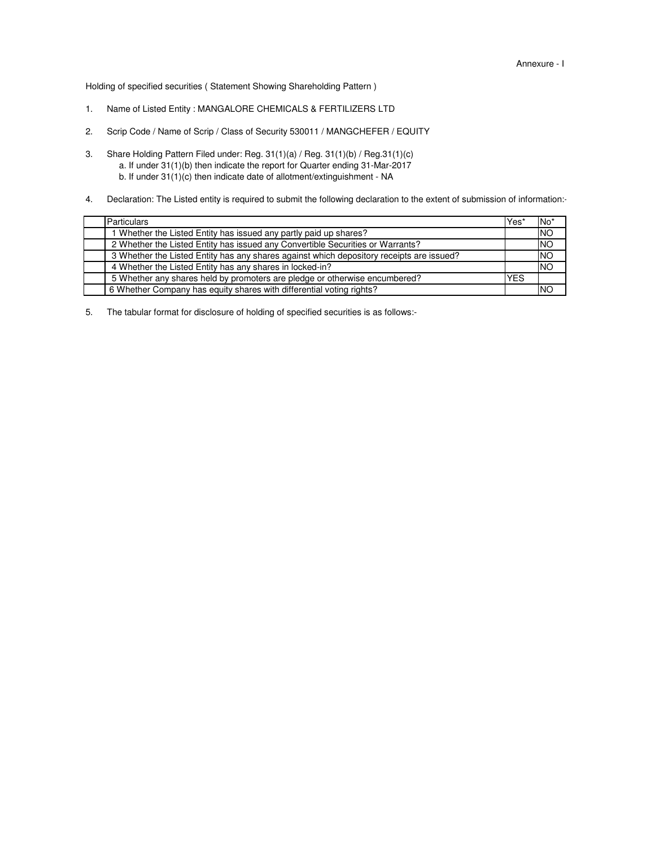Holding of specified securities ( Statement Showing Shareholding Pattern )

- 1. Name of Listed Entity : MANGALORE CHEMICALS & FERTILIZERS LTD
- 2. Scrip Code / Name of Scrip / Class of Security 530011 / MANGCHEFER / EQUITY
- 3. b. If under 31(1)(c) then indicate date of allotment/extinguishment - NA a. If under 31(1)(b) then indicate the report for Quarter ending 31-Mar-2017 Share Holding Pattern Filed under: Reg. 31(1)(a) / Reg. 31(1)(b) / Reg.31(1)(c)
- 4. Declaration: The Listed entity is required to submit the following declaration to the extent of submission of information:-

| <b>Particulars</b>                                                                       | Yes        | No <sup>*</sup> |
|------------------------------------------------------------------------------------------|------------|-----------------|
| I Whether the Listed Entity has issued any partly paid up shares?                        |            | <b>INO</b>      |
| 2 Whether the Listed Entity has issued any Convertible Securities or Warrants?           |            | <b>NO</b>       |
| 3 Whether the Listed Entity has any shares against which depository receipts are issued? |            | <b>INO</b>      |
| 4 Whether the Listed Entity has any shares in locked-in?                                 |            | <b>INO</b>      |
| 5 Whether any shares held by promoters are pledge or otherwise encumbered?               | <b>YES</b> |                 |
| 6 Whether Company has equity shares with differential voting rights?                     |            | INO             |

5. The tabular format for disclosure of holding of specified securities is as follows:-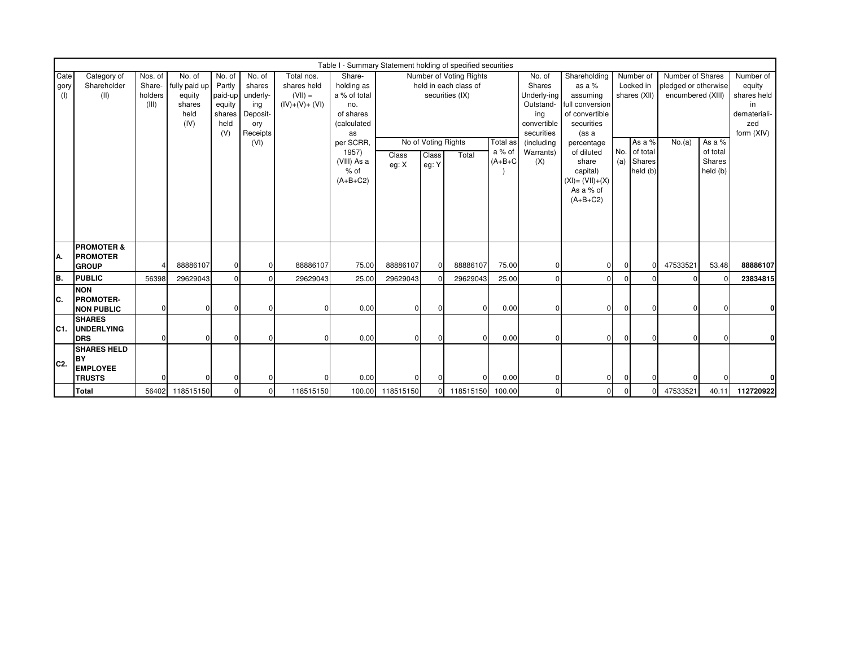|                     | Table I - Summary Statement holding of specified securities<br>Share-<br>Nos. of<br>Total nos.<br>Number of Voting Rights<br>No. of<br>Shareholding<br>Number of<br>Number of Shares<br>Category of<br>No. of<br>No. of<br>No. of |                            |                                                   |                                           |                                                                          |                                             |                                                                                  |                  |                                                                 |                |                                 |                                                                                      |                                                                                                |                                     |                                |                                                               |                                |                                                                               |
|---------------------|-----------------------------------------------------------------------------------------------------------------------------------------------------------------------------------------------------------------------------------|----------------------------|---------------------------------------------------|-------------------------------------------|--------------------------------------------------------------------------|---------------------------------------------|----------------------------------------------------------------------------------|------------------|-----------------------------------------------------------------|----------------|---------------------------------|--------------------------------------------------------------------------------------|------------------------------------------------------------------------------------------------|-------------------------------------|--------------------------------|---------------------------------------------------------------|--------------------------------|-------------------------------------------------------------------------------|
| Cate<br>gory<br>(1) | Shareholder<br>(II)                                                                                                                                                                                                               | Share-<br>holders<br>(III) | fully paid up<br>equity<br>shares<br>held<br>(IV) | Partly<br>equity<br>shares<br>held<br>(V) | shares<br>paid-up underly-<br>ing<br>Deposit-<br>ory<br>Receipts<br>(VI) | shares held<br>$(VII) =$<br>$(IV)+(V)+(VI)$ | holding as<br>a % of total<br>no.<br>of shares<br>(calculated<br>as<br>per SCRR. |                  | held in each class of<br>securities (IX)<br>No of Voting Rights |                |                                 | Shares<br>Underly-ing<br>Outstand-<br>ing<br>convertible<br>securities<br>(including | as a %<br>assuming<br>full conversion<br>of convertible<br>securities<br>(as a                 | Locked in<br>shares (XII)<br>As a % |                                | pledged or otherwise<br>encumbered (XIII)<br>As a %<br>No.(a) |                                | Number of<br>equity<br>shares held<br>in<br>demateriali-<br>zed<br>form (XIV) |
|                     |                                                                                                                                                                                                                                   |                            |                                                   |                                           |                                                                          |                                             | 1957)<br>(VIII) As a<br>% of<br>$(A+B+C2)$                                       | Class<br>eg: X   | Class<br>eg: Y                                                  | Total          | Total as<br>a % of<br>$(A+B+C)$ | Warrants)<br>(X)                                                                     | percentage<br>of diluted<br>share<br>capital)<br>$(XI) = (VII)+(X)$<br>As a % of<br>$(A+B+C2)$ | No.<br>(a)                          | of total<br>Shares<br>held (b) |                                                               | of total<br>Shares<br>held (b) |                                                                               |
| IA.                 | <b>PROMOTER &amp;</b><br><b>IPROMOTER</b><br><b>GROUP</b>                                                                                                                                                                         |                            | 88886107                                          | $\Omega$                                  |                                                                          | 88886107                                    | 75.00                                                                            | 88886107         | O                                                               | 88886107       | 75.00                           | $\mathbf 0$                                                                          | 01                                                                                             | $\mathbf{0}$                        | $\Omega$                       | 47533521                                                      | 53.48                          | 88886107                                                                      |
| Iв.                 | <b>PUBLIC</b>                                                                                                                                                                                                                     | 56398                      | 29629043                                          |                                           |                                                                          | 29629043                                    | 25.00                                                                            | 29629043         |                                                                 | 29629043       | 25.00                           | $\mathbf{0}$                                                                         | U                                                                                              | $\Omega$                            |                                |                                                               | $\Omega$                       | 23834815                                                                      |
| IC.                 | <b>NON</b><br><b>PROMOTER-</b><br><b>NON PUBLIC</b>                                                                                                                                                                               |                            | U                                                 | $\Omega$                                  |                                                                          |                                             | 0.00                                                                             | $\Omega$         | U                                                               | $\Omega$       | 0.00                            | $\Omega$                                                                             | ΩI                                                                                             | $\Omega$                            | $\Omega$                       | O                                                             | $\Omega$                       | 0                                                                             |
| C1.                 | <b>SHARES</b><br><b>UNDERLYING</b><br><b>DRS</b>                                                                                                                                                                                  |                            | $\Omega$                                          | $\Omega$                                  | ŋ                                                                        |                                             | 0.00                                                                             | $\mathbf{0}$     | $\Omega$                                                        | $\overline{0}$ | 0.00                            | $\mathbf 0$                                                                          | $\mathbf{0}$                                                                                   | $\mathbf{0}$                        | $\Omega$                       | 0                                                             | $\mathbf 0$                    | 0                                                                             |
| IC <sub>2</sub>     | <b>SHARES HELD</b><br>İΒY<br><b>EMPLOYEE</b><br><b>TRUSTS</b>                                                                                                                                                                     |                            |                                                   | $\Omega$                                  |                                                                          |                                             | 0.00                                                                             | $\Omega$         |                                                                 | $\Omega$       | 0.00                            | $\mathbf{0}$                                                                         | 01                                                                                             | $\mathbf{0}$                        |                                |                                                               |                                |                                                                               |
|                     | <b>Total</b>                                                                                                                                                                                                                      | 56402                      | 118515150                                         |                                           | <sup>0</sup>                                                             | 118515150                                   |                                                                                  | 100.00 118515150 | 01                                                              | 118515150      | 100.00                          | $\mathbf 0$                                                                          | O                                                                                              | $\mathbf{0}$                        | ŋ                              | 47533521                                                      | 40.11                          | 112720922                                                                     |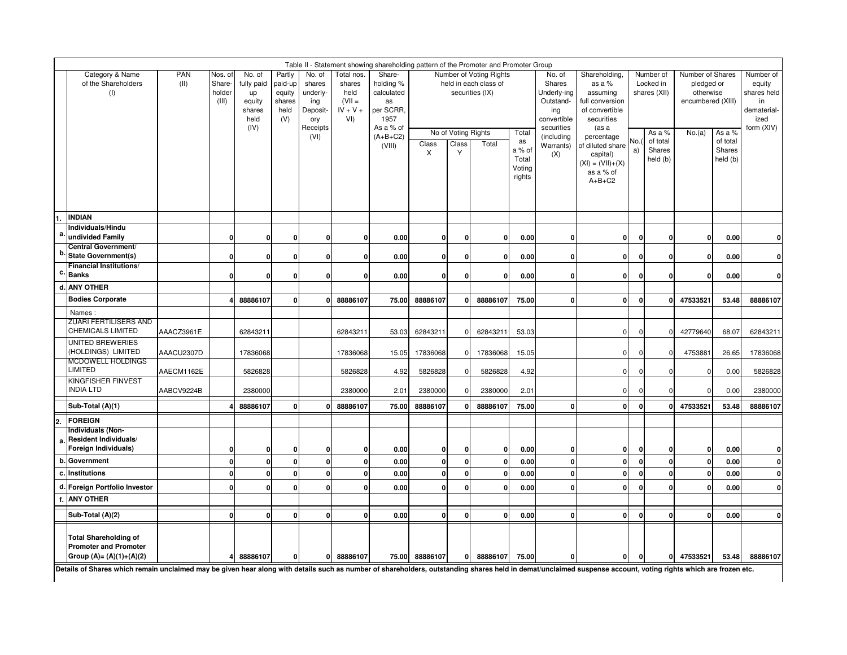|    | Table II - Statement showing shareholding pattern of the Promoter and Promoter Group<br>Partly<br>Number of Voting Rights |                    |                                                                                                        |          |                      |                                                                    |                                                              |                                                                           |                       |                                   |                                          |                                                    |                                                                                  |                                                                                                 |                                        |                                          |                                                                  |                                          |                                                                               |
|----|---------------------------------------------------------------------------------------------------------------------------|--------------------|--------------------------------------------------------------------------------------------------------|----------|----------------------|--------------------------------------------------------------------|--------------------------------------------------------------|---------------------------------------------------------------------------|-----------------------|-----------------------------------|------------------------------------------|----------------------------------------------------|----------------------------------------------------------------------------------|-------------------------------------------------------------------------------------------------|----------------------------------------|------------------------------------------|------------------------------------------------------------------|------------------------------------------|-------------------------------------------------------------------------------|
|    | Category & Name<br>of the Shareholders<br>(1)                                                                             | <b>PAN</b><br>(II) | No. of<br>Nos. of<br>Share-<br>fully paid<br>holder<br>up<br>(III)<br>equity<br>shares<br>held<br>(IV) |          |                      | No. of<br>shares<br>underly-<br>ing<br>Deposit-<br>ory<br>Receipts | Total nos.<br>shares<br>held<br>$(VII =$<br>$IV + V +$<br>VI | Share-<br>holding %<br>calculated<br>as<br>per SCRR.<br>1957<br>As a % of |                       |                                   | held in each class of<br>securities (IX) |                                                    | No. of<br>Shares<br>Underly-ing<br>Outstand-<br>ing<br>convertible<br>securities | Shareholding,<br>as a %<br>assuming<br>full conversion<br>of convertible<br>securities<br>(as a | Number of<br>Locked in<br>shares (XII) |                                          | Number of Shares<br>pledged or<br>otherwise<br>encumbered (XIII) |                                          | Number of<br>equity<br>shares held<br>in<br>dematerial-<br>ized<br>form (XIV) |
|    |                                                                                                                           |                    |                                                                                                        |          |                      | (VI)                                                               |                                                              | $(A+B+C2)$<br>(VIII)                                                      | $\textsf{Class}$<br>X | No of Voting Rights<br>Class<br>Y | Total                                    | Total<br>as<br>a % of<br>Total<br>Voting<br>rights | (including<br>Warrants)<br>(X)                                                   | percentage<br>of diluted share<br>capital)<br>$(XI) = (VII)+(X)$<br>as a % of<br>$A+B+C2$       | No.<br>a)                              | As a %<br>of total<br>Shares<br>held (b) | No.(a)                                                           | As a %<br>of total<br>Shares<br>held (b) |                                                                               |
|    | <b>INDIAN</b><br>Individuals/Hindu                                                                                        |                    |                                                                                                        |          |                      |                                                                    |                                                              |                                                                           |                       |                                   |                                          |                                                    |                                                                                  |                                                                                                 |                                        |                                          |                                                                  |                                          |                                                                               |
| а  | undivided Family                                                                                                          |                    | $\mathbf 0$                                                                                            | 0        | $\mathbf 0$          | 0                                                                  | 0                                                            | 0.00                                                                      | 0                     | $\mathbf{0}$                      | $\mathbf{0}$                             | 0.00                                               | 0                                                                                | 0                                                                                               | $\mathbf 0$                            | $\mathbf{0}$                             | $\mathbf 0$                                                      | 0.00                                     | $\mathbf{0}$                                                                  |
| b  | <b>Central Government/</b><br>State Government(s)                                                                         |                    | 0                                                                                                      | 0        | 0                    | 0                                                                  | 0                                                            | 0.00                                                                      | 0                     | $\mathbf{0}$                      | $\mathbf{0}$                             | 0.00                                               | 0                                                                                | $\mathbf{0}$                                                                                    | $\mathbf 0$                            | 0                                        | 0                                                                | 0.00                                     | $\pmb{0}$                                                                     |
| c. | <b>Financial Institutions/</b><br><b>Banks</b>                                                                            |                    | 0                                                                                                      | 0        | O                    | 0                                                                  | 0                                                            | 0.00                                                                      | 0                     | $\mathbf{0}$                      | 0                                        | 0.00                                               | 0                                                                                | 0                                                                                               | $\Omega$                               | $\Omega$                                 | $\mathbf{0}$                                                     | 0.00                                     | $\mathbf{0}$                                                                  |
|    | d. ANY OTHER                                                                                                              |                    |                                                                                                        |          |                      |                                                                    |                                                              |                                                                           |                       |                                   |                                          |                                                    |                                                                                  |                                                                                                 |                                        |                                          |                                                                  |                                          |                                                                               |
|    | <b>Bodies Corporate</b>                                                                                                   |                    |                                                                                                        | 88886107 | $\mathbf 0$          | $\mathbf{0}$                                                       | 88886107                                                     | 75.00                                                                     | 88886107              | $\mathbf{0}$                      | 88886107                                 | 75.00                                              | $\Omega$                                                                         | $\mathbf{0}$                                                                                    | $\mathbf{0}$                           | 0                                        | 47533521                                                         | 53.48                                    | 88886107                                                                      |
|    | Names:                                                                                                                    |                    |                                                                                                        |          |                      |                                                                    |                                                              |                                                                           |                       |                                   |                                          |                                                    |                                                                                  |                                                                                                 |                                        |                                          |                                                                  |                                          |                                                                               |
|    | <b>ZUARI FERTILISERS AND</b><br><b>CHEMICALS LIMITED</b>                                                                  | AAACZ3961E         |                                                                                                        | 62843211 |                      |                                                                    | 62843211                                                     | 53.03                                                                     | 62843211              | $\Omega$                          | 62843211                                 | 53.03                                              |                                                                                  | $\overline{0}$                                                                                  | $\Omega$                               | $\Omega$                                 | 42779640                                                         | 68.07                                    | 62843211                                                                      |
|    | UNITED BREWERIES<br>(HOLDINGS) LIMITED                                                                                    | AAACU2307D         |                                                                                                        | 17836068 |                      |                                                                    | 17836068                                                     | 15.05                                                                     | 17836068              | $\Omega$                          | 17836068                                 | 15.05                                              |                                                                                  | $\mathbf 0$                                                                                     | $\mathbf 0$                            | $\Omega$                                 | 4753881                                                          | 26.65                                    | 17836068                                                                      |
|    | <b>MCDOWELL HOLDINGS</b><br><b>LIMITED</b>                                                                                | AAECM1162E         |                                                                                                        | 5826828  |                      |                                                                    | 5826828                                                      | 4.92                                                                      | 5826828               | $\mathbf 0$                       | 5826828                                  | 4.92                                               |                                                                                  | $\pmb{0}$                                                                                       | $\Omega$                               | $\Omega$                                 | 0                                                                | 0.00                                     | 5826828                                                                       |
|    | <b>KINGFISHER FINVEST</b><br><b>INDIA LTD</b>                                                                             | AABCV9224B         |                                                                                                        | 2380000  |                      |                                                                    | 2380000                                                      | 2.01                                                                      | 2380000               | $\mathbf 0$                       | 2380000                                  | 2.01                                               |                                                                                  | $\mathbf 0$                                                                                     | $\Omega$                               | $\Omega$                                 | $\Omega$                                                         | 0.00                                     | 2380000                                                                       |
|    | Sub-Total (A)(1)                                                                                                          |                    |                                                                                                        | 88886107 | $\mathbf{0}$         | O                                                                  | 88886107                                                     | 75.00                                                                     | 88886107              |                                   | 88886107                                 | 75.00                                              | $\Omega$                                                                         | $\overline{0}$                                                                                  | $\Omega$                               | O                                        | 47533521                                                         | 53.48                                    | 88886107                                                                      |
| 2. | <b>FOREIGN</b>                                                                                                            |                    |                                                                                                        |          |                      |                                                                    |                                                              |                                                                           |                       |                                   |                                          |                                                    |                                                                                  |                                                                                                 |                                        |                                          |                                                                  |                                          |                                                                               |
| a. | <b>Individuals (Non-</b><br>Resident Individuals/                                                                         |                    |                                                                                                        |          |                      |                                                                    |                                                              |                                                                           |                       |                                   |                                          |                                                    |                                                                                  |                                                                                                 |                                        |                                          |                                                                  |                                          |                                                                               |
|    | Foreign Individuals)                                                                                                      |                    | 0                                                                                                      | ŋ        | 0                    | 0                                                                  | 0                                                            | 0.00                                                                      | 0                     | $\mathbf 0$                       | 0                                        | 0.00                                               | 0                                                                                | $\mathbf{0}$                                                                                    | 0                                      | $\mathbf{0}$                             | 0                                                                | 0.00                                     | $\mathbf{0}$                                                                  |
|    | b. Government<br><b>Institutions</b>                                                                                      |                    | $\mathbf 0$<br>$\mathbf 0$                                                                             | ŋ        | $\Omega$<br>$\Omega$ | $\mathbf{0}$                                                       | 0                                                            | 0.00                                                                      | 0                     | $\mathbf{0}$                      | $\mathbf{0}$                             | 0.00                                               | $\mathbf 0$<br>$\mathbf 0$                                                       | $\mathbf{0}$                                                                                    | $\mathbf 0$<br>$\mathbf{0}$            | $\mathbf{0}$                             | $\mathbf{0}$                                                     | 0.00                                     | $\mathbf{0}$                                                                  |
| c  |                                                                                                                           |                    |                                                                                                        | 0        |                      | $\mathbf{0}$                                                       | 0                                                            | 0.00                                                                      | 0                     | $\mathbf{0}$                      | 0                                        | 0.00                                               |                                                                                  | $\mathbf 0$                                                                                     |                                        | $\mathbf{0}$                             | $\mathbf 0$                                                      | 0.00                                     | $\pmb{0}$                                                                     |
| f. | d. Foreign Portfolio Investor<br><b>ANY OTHER</b>                                                                         |                    | $\mathbf 0$                                                                                            | O        | $\mathbf{0}$         | $\mathbf 0$                                                        | 0                                                            | 0.00                                                                      | $\mathbf{0}$          | $\Omega$                          | 0                                        | 0.00                                               | $\Omega$                                                                         | $\mathbf{0}$                                                                                    | $\Omega$                               | $\mathbf{0}$                             | $\mathbf{0}$                                                     | 0.00                                     | $\mathbf{0}$                                                                  |
|    | Sub-Total (A)(2)                                                                                                          |                    | $\mathbf 0$                                                                                            | 0        | $\mathbf 0$          | $\mathbf 0$                                                        | $\mathbf{0}$                                                 | 0.00                                                                      | $\mathbf{0}$          | $\mathbf{0}$                      | $\mathbf{0}$                             | 0.00                                               | 0                                                                                | $\mathbf{0}$                                                                                    | $\mathbf 0$                            | $\mathbf{0}$                             | $\mathbf{0}$                                                     | 0.00                                     | $\mathbf{0}$                                                                  |
|    | <b>Total Shareholding of</b><br><b>Promoter and Promoter</b><br>Group (A)= (A)(1)+(A)(2)                                  |                    |                                                                                                        | 88886107 | $\mathbf 0$          | $\mathbf{0}$                                                       | 88886107                                                     |                                                                           | 75.00 88886107        | 0                                 | 88886107                                 | 75.00                                              | 0                                                                                | 0                                                                                               | 0                                      | 0                                        | 47533521                                                         | 53.48                                    | 88886107                                                                      |

Details of Shares which remain unclaimed may be given hear along with details such as number of shareholders, outstanding shares held in demat/unclaimed suspense account, voting rights which are frozen etc.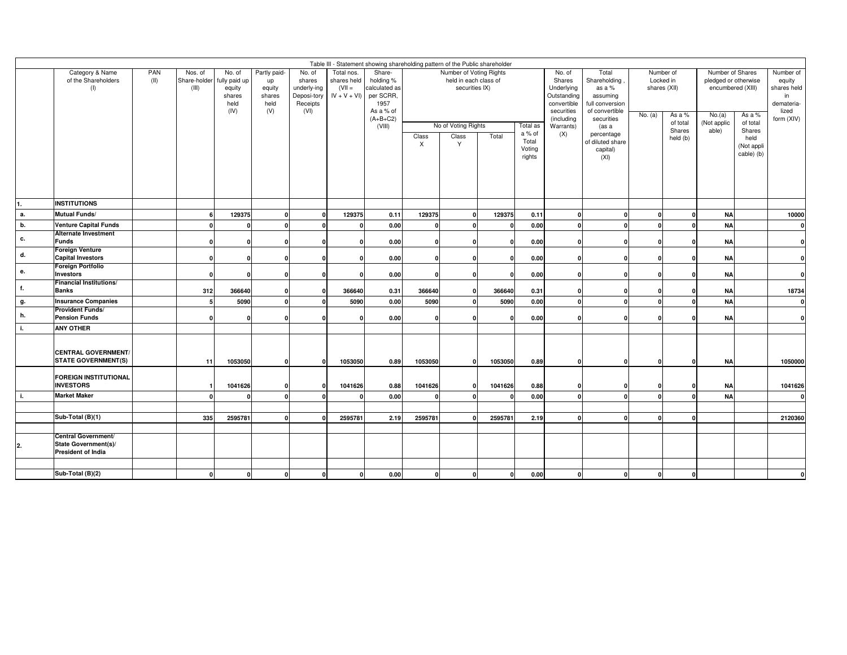|       | Table III - Statement showing shareholding pattern of the Public shareholder<br>Number of Voting Rights<br>Number of<br>Number of Shares |             |                                  |                                                             |                                                       |                                                                    |                                                        |                                                                                                |            |                                                                              |         |                                                 |                                                                                                              |                                                                                                                                                               |         |                                                                       |                                                                             |                                                                  |                                                                               |
|-------|------------------------------------------------------------------------------------------------------------------------------------------|-------------|----------------------------------|-------------------------------------------------------------|-------------------------------------------------------|--------------------------------------------------------------------|--------------------------------------------------------|------------------------------------------------------------------------------------------------|------------|------------------------------------------------------------------------------|---------|-------------------------------------------------|--------------------------------------------------------------------------------------------------------------|---------------------------------------------------------------------------------------------------------------------------------------------------------------|---------|-----------------------------------------------------------------------|-----------------------------------------------------------------------------|------------------------------------------------------------------|-------------------------------------------------------------------------------|
|       | Category & Name<br>of the Shareholders<br>(1)                                                                                            | PAN<br>(II) | Nos. of<br>Share-holder<br>(III) | No. of<br>fully paid up<br>equity<br>shares<br>held<br>(IV) | Partly paid-<br>up<br>equity<br>shares<br>held<br>(V) | No. of<br>shares<br>underly-ing<br>Deposi-tory<br>Receipts<br>(VI) | Total nos.<br>shares held<br>$(VII =$<br>$IV + V + VI$ | Share-<br>holding %<br>calculated as<br>per SCRR,<br>1957<br>As a % of<br>$(A+B+C2)$<br>(VIII) | Class<br>X | held in each class of<br>securities IX)<br>No of Voting Rights<br>Class<br>Y | Total   | Total as<br>a % of<br>Total<br>Voting<br>rights | No. of<br>Shares<br>Underlying<br>Outstanding<br>convertible<br>securities<br>(including<br>Warrants)<br>(X) | Total<br>Shareholding<br>as a %<br>assuming<br>full conversion<br>of convertible<br>securities<br>(as a<br>percentage<br>of diluted share<br>capital)<br>(XI) | No. (a) | Locked in<br>shares (XII)<br>As a %<br>of total<br>Shares<br>held (b) | pledged or otherwise<br>encumbered (XIII)<br>No.(a)<br>(Not applic<br>able) | As a %<br>of total<br>Shares<br>held<br>(Not appli<br>cable) (b) | Number of<br>equity<br>shares held<br>in<br>demateria-<br>lized<br>form (XIV) |
| 1.    | <b>INSTITUTIONS</b>                                                                                                                      |             |                                  |                                                             |                                                       |                                                                    |                                                        |                                                                                                |            |                                                                              |         |                                                 |                                                                                                              |                                                                                                                                                               |         |                                                                       |                                                                             |                                                                  |                                                                               |
| $a$ . | Mutual Funds/                                                                                                                            |             | 6                                | 129375                                                      | $\mathbf{0}$                                          | $\Omega$                                                           | 129375                                                 | 0.11                                                                                           | 129375     | $\Omega$                                                                     | 129375  | 0.11                                            | 0                                                                                                            | $\Omega$                                                                                                                                                      |         | $\Omega$                                                              | <b>NA</b>                                                                   |                                                                  | 10000                                                                         |
| b.    | <b>Venture Capital Funds</b>                                                                                                             |             | ŋ                                | $\mathbf{r}$                                                | $\Omega$                                              | $\sqrt{2}$                                                         | $\Omega$                                               | 0.00                                                                                           |            |                                                                              |         | 0.00                                            | $\Omega$                                                                                                     | $\Omega$                                                                                                                                                      |         | $\Omega$                                                              | <b>NA</b>                                                                   |                                                                  | $\mathbf{0}$                                                                  |
| c.    | Alternate Investment<br><b>Funds</b>                                                                                                     |             | O                                | n                                                           | $\Omega$                                              |                                                                    | O                                                      | 0.00                                                                                           |            | n                                                                            |         | 0.00                                            | 0                                                                                                            | $\Omega$                                                                                                                                                      |         | $\Omega$                                                              | <b>NA</b>                                                                   |                                                                  | $\mathbf{0}$                                                                  |
| d.    | Foreign Venture<br><b>Capital Investors</b>                                                                                              |             | $\Omega$                         | $\mathbf{0}$                                                | 0                                                     | n                                                                  | $\Omega$                                               | 0.00                                                                                           |            | $\Omega$                                                                     |         | 0.00                                            | 0                                                                                                            | $\Omega$                                                                                                                                                      |         | $\mathbf{0}$                                                          | <b>NA</b>                                                                   |                                                                  | 0                                                                             |
| е.    | Foreign Portfolio<br><b>Investors</b>                                                                                                    |             | O                                | $\mathbf{0}$                                                | $\Omega$                                              | $\mathbf{0}$                                                       | $\Omega$                                               | 0.00                                                                                           |            | $\Omega$                                                                     |         | 0.00                                            | 0                                                                                                            | $\Omega$                                                                                                                                                      |         | $\Omega$                                                              | <b>NA</b>                                                                   |                                                                  | 0                                                                             |
| f.    | Financial Institutions/<br><b>Banks</b>                                                                                                  |             | 312                              | 366640                                                      |                                                       | n                                                                  | 366640                                                 | 0.31                                                                                           | 366640     |                                                                              | 366640  | 0.31                                            |                                                                                                              | c                                                                                                                                                             |         | $\Omega$                                                              | <b>NA</b>                                                                   |                                                                  | 18734                                                                         |
| g.    | <b>Insurance Companies</b>                                                                                                               |             | 5                                | 5090                                                        | $\Omega$                                              | $\Omega$                                                           | 5090                                                   | 0.00                                                                                           | 5090       | $\Omega$                                                                     | 5090    | 0.00                                            | $\mathbf{0}$                                                                                                 | $\Omega$                                                                                                                                                      |         | $\Omega$                                                              | <b>NA</b>                                                                   |                                                                  | $\mathbf 0$                                                                   |
| h.    | Provident Funds/<br><b>Pension Funds</b>                                                                                                 |             | O                                | $\Omega$                                                    |                                                       |                                                                    | $\mathbf{C}$                                           | 0.00                                                                                           |            |                                                                              |         | 0.00                                            | $\Omega$                                                                                                     | O                                                                                                                                                             |         | $\Omega$                                                              | <b>NA</b>                                                                   |                                                                  | 0                                                                             |
| i.    | <b>ANY OTHER</b>                                                                                                                         |             |                                  |                                                             |                                                       |                                                                    |                                                        |                                                                                                |            |                                                                              |         |                                                 |                                                                                                              |                                                                                                                                                               |         |                                                                       |                                                                             |                                                                  |                                                                               |
|       | <b>CENTRAL GOVERNMENT/</b><br><b>STATE GOVERNMENT(S)</b>                                                                                 |             | 11                               | 1053050                                                     | $\Omega$                                              | $\Omega$                                                           | 1053050                                                | 0.89                                                                                           | 1053050    | ി                                                                            | 1053050 | 0.89                                            | 0                                                                                                            | $\Omega$                                                                                                                                                      |         | $\Omega$                                                              | <b>NA</b>                                                                   |                                                                  | 1050000                                                                       |
|       | <b>FOREIGN INSTITUTIONAL</b><br><b>INVESTORS</b>                                                                                         |             |                                  | 1041626                                                     |                                                       | O                                                                  | 1041626                                                | 0.88                                                                                           | 1041626    | $\Omega$                                                                     | 1041626 | 0.88                                            | n                                                                                                            | O                                                                                                                                                             |         |                                                                       | <b>NA</b>                                                                   |                                                                  | 1041626                                                                       |
| i.    | <b>Market Maker</b>                                                                                                                      |             | $\Omega$                         | $\Omega$                                                    | $\Omega$                                              | $\Omega$                                                           | $\Omega$                                               | 0.00                                                                                           |            | $\Omega$                                                                     |         | 0.00                                            | $\Omega$                                                                                                     | $\Omega$                                                                                                                                                      |         | $\Omega$                                                              | <b>NA</b>                                                                   |                                                                  | 0                                                                             |
|       |                                                                                                                                          |             |                                  |                                                             |                                                       |                                                                    |                                                        |                                                                                                |            |                                                                              |         |                                                 |                                                                                                              |                                                                                                                                                               |         |                                                                       |                                                                             |                                                                  |                                                                               |
|       | Sub-Total (B)(1)                                                                                                                         |             | 335                              | 2595781                                                     |                                                       |                                                                    | 2595781                                                | 2.19                                                                                           | 2595781    |                                                                              | 2595781 | 2.19                                            |                                                                                                              | O                                                                                                                                                             |         | $\Omega$                                                              |                                                                             |                                                                  | 2120360                                                                       |
|       |                                                                                                                                          |             |                                  |                                                             |                                                       |                                                                    |                                                        |                                                                                                |            |                                                                              |         |                                                 |                                                                                                              |                                                                                                                                                               |         |                                                                       |                                                                             |                                                                  |                                                                               |
| 2.    | Central Government/<br>State Government(s)/<br>President of India                                                                        |             |                                  |                                                             |                                                       |                                                                    |                                                        |                                                                                                |            |                                                                              |         |                                                 |                                                                                                              |                                                                                                                                                               |         |                                                                       |                                                                             |                                                                  |                                                                               |
|       |                                                                                                                                          |             |                                  |                                                             |                                                       |                                                                    |                                                        |                                                                                                |            |                                                                              |         |                                                 |                                                                                                              |                                                                                                                                                               |         |                                                                       |                                                                             |                                                                  |                                                                               |
|       | Sub-Total (B)(2)                                                                                                                         |             | n                                |                                                             | $\mathbf{0}$                                          |                                                                    | $\Omega$                                               | 0.00                                                                                           |            |                                                                              |         | 0.00                                            |                                                                                                              | O                                                                                                                                                             |         |                                                                       |                                                                             |                                                                  |                                                                               |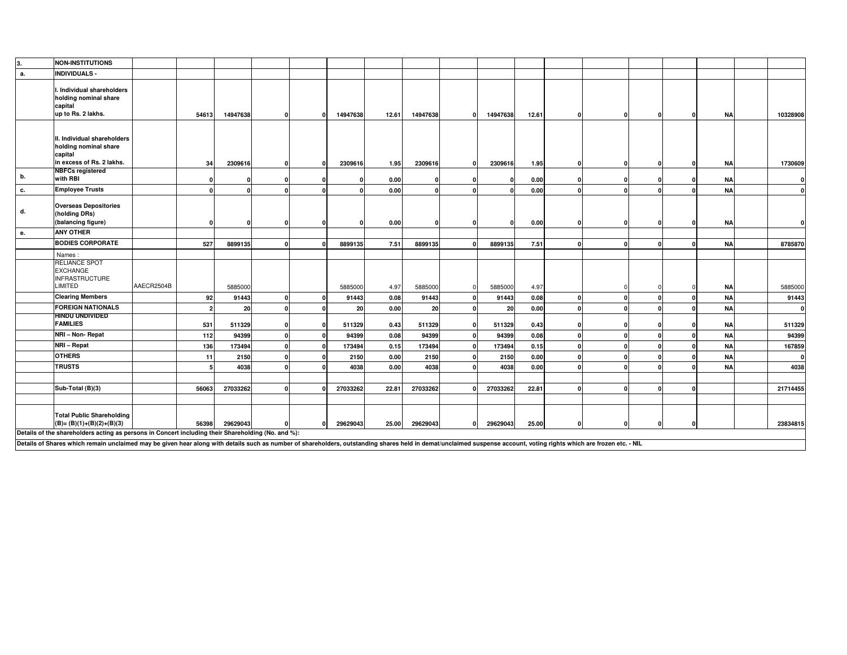| 3. | <b>NON-INSTITUTIONS</b>                                                                                                                                                                                              |            |                |          |              |          |       |          |          |          |       |   |          |          |          |           |          |
|----|----------------------------------------------------------------------------------------------------------------------------------------------------------------------------------------------------------------------|------------|----------------|----------|--------------|----------|-------|----------|----------|----------|-------|---|----------|----------|----------|-----------|----------|
| а. | <b>INDIVIDUALS -</b>                                                                                                                                                                                                 |            |                |          |              |          |       |          |          |          |       |   |          |          |          |           |          |
|    | . Individual shareholders<br>holding nominal share<br>capital<br>up to Rs. 2 lakhs.                                                                                                                                  |            | 54613          | 14947638 | $\mathbf{0}$ | 14947638 | 12.61 | 14947638 | 0        | 14947638 | 12.61 |   | 0        | $\Omega$ |          | <b>NA</b> | 10328908 |
|    | II. Individual shareholders<br>holding nominal share<br>capital<br>in excess of Rs. 2 lakhs.                                                                                                                         |            | 34             | 2309616  | $\Omega$     | 2309616  | 1.95  | 2309616  | $\Omega$ | 2309616  | 1.95  | O | 0        |          |          | ΝA        | 1730609  |
| b. | <b>NBFCs registered</b><br>with RBI                                                                                                                                                                                  |            | $\mathbf{0}$   | 0        | $\Omega$     | -C       | 0.00  |          |          |          | 0.00  |   | $\Omega$ |          |          | <b>NA</b> | $\Omega$ |
| c. | <b>Employee Trusts</b>                                                                                                                                                                                               |            | $\mathbf{0}$   | $\Omega$ |              | $\Omega$ | 0.00  |          |          |          | 0.00  |   | $\Omega$ |          |          | <b>NA</b> | $\Omega$ |
| d. | <b>Overseas Depositories</b><br>(holding DRs)<br>(balancing figure)                                                                                                                                                  |            | $\mathbf{0}$   | $\Omega$ |              |          | 0.00  |          |          |          | 0.00  |   | $\Omega$ |          |          | <b>NA</b> |          |
| е. | <b>ANY OTHER</b>                                                                                                                                                                                                     |            |                |          |              |          |       |          |          |          |       |   |          |          |          |           |          |
|    | <b>BODIES CORPORATE</b>                                                                                                                                                                                              |            | 527            | 8899135  | $\Omega$     | 8899135  | 7.51  | 8899135  |          | 8899135  | 7.51  |   | $\Omega$ |          | $\Omega$ | <b>NA</b> | 8785870  |
|    | Names:                                                                                                                                                                                                               |            |                |          |              |          |       |          |          |          |       |   |          |          |          |           |          |
|    | RELIANCE SPOT<br><b>EXCHANGE</b><br><b>INFRASTRUCTURE</b><br>LIMITED                                                                                                                                                 | AAECR2504B |                | 5885000  |              | 5885000  | 4.97  | 5885000  |          | 5885000  | 4.97  |   | $\Omega$ |          |          | ΝA        | 5885000  |
|    | <b>Clearing Members</b>                                                                                                                                                                                              |            | 92             | 91443    |              | 91443    | 0.08  | 91443    |          | 91443    | 0.08  |   | $\Omega$ |          |          | <b>NA</b> | 91443    |
|    | <b>FOREIGN NATIONALS</b>                                                                                                                                                                                             |            | $\overline{2}$ | 20       |              | 20       | 0.00  | 20       |          | 20       | 0.00  |   | $\Omega$ |          |          | <b>NA</b> | n        |
|    | <b>HINDU UNDIVIDED</b>                                                                                                                                                                                               |            |                |          |              |          |       |          |          |          |       |   |          |          |          |           |          |
|    | <b>FAMILIES</b>                                                                                                                                                                                                      |            | 531            | 511329   |              | 511329   | 0.43  | 511329   |          | 511329   | 0.43  |   | $\Omega$ |          |          | NA        | 511329   |
|    | NRI - Non- Repat                                                                                                                                                                                                     |            | 112            | 94399    |              | 94399    | 0.08  | 94399    |          | 94399    | 0.08  |   | $\Omega$ |          |          | <b>NA</b> | 94399    |
|    | NRI - Repat                                                                                                                                                                                                          |            | 136            | 173494   |              | 173494   | 0.15  | 173494   |          | 173494   | 0.15  |   | $\Omega$ |          |          | <b>NA</b> | 167859   |
|    | <b>OTHERS</b>                                                                                                                                                                                                        |            | 11             | 2150     |              | 2150     | 0.00  | 2150     |          | 2150     | 0.00  |   | $\Omega$ |          |          | <b>NA</b> |          |
|    | <b>TRUSTS</b>                                                                                                                                                                                                        |            | 5              | 4038     |              | 4038     | 0.00  | 4038     |          | 4038     | 0.00  |   | $\Omega$ |          |          | <b>NA</b> | 4038     |
|    |                                                                                                                                                                                                                      |            |                |          |              |          |       |          |          |          |       |   |          |          |          |           |          |
|    | Sub-Total (B)(3)                                                                                                                                                                                                     |            | 56063          | 27033262 |              | 27033262 | 22.81 | 27033262 |          | 27033262 | 22.81 |   | $\Omega$ |          | $\Omega$ |           | 21714455 |
|    | <b>Total Public Shareholding</b><br>$(B)=(B)(1)+(B)(2)+(B)(3)$<br>Details of the shareholders acting as persons in Concert including their Shareholding (No. and %):                                                 |            | 56398          | 29629043 |              | 29629043 | 25.00 | 29629043 | n        | 29629043 | 25.00 |   | $\Omega$ |          |          |           | 23834815 |
|    | Details of Shares which remain unclaimed may be given hear along with details such as number of shareholders, outstanding shares held in demat/unclaimed suspense account, voting rights which are frozen etc. - NIL |            |                |          |              |          |       |          |          |          |       |   |          |          |          |           |          |